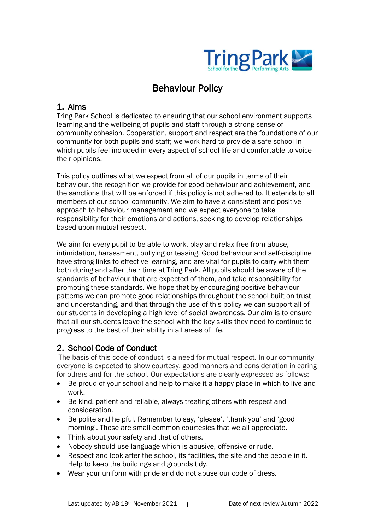

# Behaviour Policy

# 1. Aims

Tring Park School is dedicated to ensuring that our school environment supports learning and the wellbeing of pupils and staff through a strong sense of community cohesion. Cooperation, support and respect are the foundations of our community for both pupils and staff; we work hard to provide a safe school in which pupils feel included in every aspect of school life and comfortable to voice their opinions.

This policy outlines what we expect from all of our pupils in terms of their behaviour, the recognition we provide for good behaviour and achievement, and the sanctions that will be enforced if this policy is not adhered to. It extends to all members of our school community. We aim to have a consistent and positive approach to behaviour management and we expect everyone to take responsibility for their emotions and actions, seeking to develop relationships based upon mutual respect.

We aim for every pupil to be able to work, play and relax free from abuse, intimidation, harassment, bullying or teasing. Good behaviour and self-discipline have strong links to effective learning, and are vital for pupils to carry with them both during and after their time at Tring Park. All pupils should be aware of the standards of behaviour that are expected of them, and take responsibility for promoting these standards. We hope that by encouraging positive behaviour patterns we can promote good relationships throughout the school built on trust and understanding, and that through the use of this policy we can support all of our students in developing a high level of social awareness. Our aim is to ensure that all our students leave the school with the key skills they need to continue to progress to the best of their ability in all areas of life.

# 2. School Code of Conduct

The basis of this code of conduct is a need for mutual respect. In our community everyone is expected to show courtesy, good manners and consideration in caring for others and for the school. Our expectations are clearly expressed as follows:

- Be proud of your school and help to make it a happy place in which to live and work.
- Be kind, patient and reliable, always treating others with respect and consideration.
- Be polite and helpful. Remember to say, 'please', 'thank you' and 'good morning'. These are small common courtesies that we all appreciate.
- Think about your safety and that of others.
- Nobody should use language which is abusive, offensive or rude.
- Respect and look after the school, its facilities, the site and the people in it. Help to keep the buildings and grounds tidy.
- Wear your uniform with pride and do not abuse our code of dress.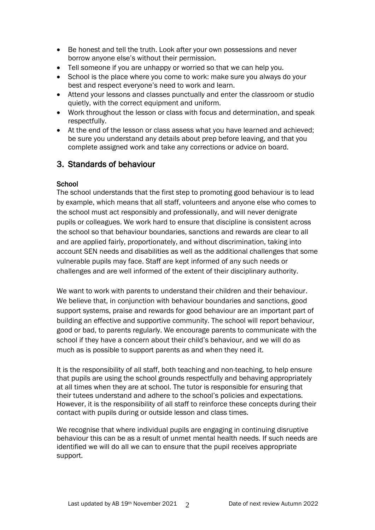- Be honest and tell the truth. Look after your own possessions and never borrow anyone else's without their permission.
- Tell someone if you are unhappy or worried so that we can help you.
- School is the place where you come to work: make sure you always do your best and respect everyone's need to work and learn.
- Attend your lessons and classes punctually and enter the classroom or studio quietly, with the correct equipment and uniform.
- Work throughout the lesson or class with focus and determination, and speak respectfully.
- At the end of the lesson or class assess what you have learned and achieved; be sure you understand any details about prep before leaving, and that you complete assigned work and take any corrections or advice on board.

# 3. Standards of behaviour

## **School**

The school understands that the first step to promoting good behaviour is to lead by example, which means that all staff, volunteers and anyone else who comes to the school must act responsibly and professionally, and will never denigrate pupils or colleagues. We work hard to ensure that discipline is consistent across the school so that behaviour boundaries, sanctions and rewards are clear to all and are applied fairly, proportionately, and without discrimination, taking into account SEN needs and disabilities as well as the additional challenges that some vulnerable pupils may face. Staff are kept informed of any such needs or challenges and are well informed of the extent of their disciplinary authority.

We want to work with parents to understand their children and their behaviour. We believe that, in conjunction with behaviour boundaries and sanctions, good support systems, praise and rewards for good behaviour are an important part of building an effective and supportive community. The school will report behaviour, good or bad, to parents regularly. We encourage parents to communicate with the school if they have a concern about their child's behaviour, and we will do as much as is possible to support parents as and when they need it.

It is the responsibility of all staff, both teaching and non-teaching, to help ensure that pupils are using the school grounds respectfully and behaving appropriately at all times when they are at school. The tutor is responsible for ensuring that their tutees understand and adhere to the school's policies and expectations. However, it is the responsibility of all staff to reinforce these concepts during their contact with pupils during or outside lesson and class times.

We recognise that where individual pupils are engaging in continuing disruptive behaviour this can be as a result of unmet mental health needs. If such needs are identified we will do all we can to ensure that the pupil receives appropriate support.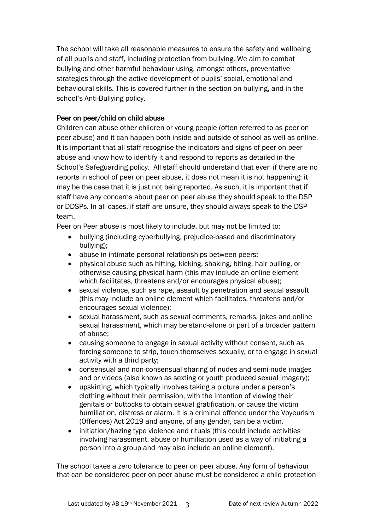The school will take all reasonable measures to ensure the safety and wellbeing of all pupils and staff, including protection from bullying. We aim to combat bullying and other harmful behaviour using, amongst others, preventative strategies through the active development of pupils' social, emotional and behavioural skills. This is covered further in the section on bullying, and in the school's Anti-Bullying policy.

## Peer on peer/child on child abuse

Children can abuse other children or young people (often referred to as peer on peer abuse) and it can happen both inside and outside of school as well as online. It is important that all staff recognise the indicators and signs of peer on peer abuse and know how to identify it and respond to reports as detailed in the School's Safeguarding policy. All staff should understand that even if there are no reports in school of peer on peer abuse, it does not mean it is not happening: it may be the case that it is just not being reported. As such, it is important that if staff have any concerns about peer on peer abuse they should speak to the DSP or DDSPs. In all cases, if staff are unsure, they should always speak to the DSP team.

Peer on Peer abuse is most likely to include, but may not be limited to:

- bullying (including cyberbullying, prejudice-based and discriminatory bullying);
- abuse in intimate personal relationships between peers;
- physical abuse such as hitting, kicking, shaking, biting, hair pulling, or otherwise causing physical harm (this may include an online element which facilitates, threatens and/or encourages physical abuse);
- sexual violence, such as rape, assault by penetration and sexual assault (this may include an online element which facilitates, threatens and/or encourages sexual violence);
- sexual harassment, such as sexual comments, remarks, jokes and online sexual harassment, which may be stand-alone or part of a broader pattern of abuse;
- causing someone to engage in sexual activity without consent, such as forcing someone to strip, touch themselves sexually, or to engage in sexual activity with a third party;
- consensual and non-consensual sharing of nudes and semi-nude images and or videos (also known as sexting or youth produced sexual imagery);
- upskirting, which typically involves taking a picture under a person's clothing without their permission, with the intention of viewing their genitals or buttocks to obtain sexual gratification, or cause the victim humiliation, distress or alarm. It is a criminal offence under the Voyeurism (Offences) Act 2019 and anyone, of any gender, can be a victim.
- initiation/hazing type violence and rituals (this could include activities involving harassment, abuse or humiliation used as a way of initiating a person into a group and may also include an online element).

The school takes a zero tolerance to peer on peer abuse. Any form of behaviour that can be considered peer on peer abuse must be considered a child protection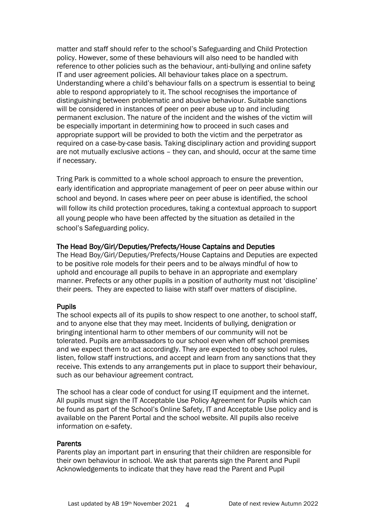matter and staff should refer to the school's Safeguarding and Child Protection policy. However, some of these behaviours will also need to be handled with reference to other policies such as the behaviour, anti-bullying and online safety IT and user agreement policies. All behaviour takes place on a spectrum. Understanding where a child's behaviour falls on a spectrum is essential to being able to respond appropriately to it. The school recognises the importance of distinguishing between problematic and abusive behaviour. Suitable sanctions will be considered in instances of peer on peer abuse up to and including permanent exclusion. The nature of the incident and the wishes of the victim will be especially important in determining how to proceed in such cases and appropriate support will be provided to both the victim and the perpetrator as required on a case-by-case basis. Taking disciplinary action and providing support are not mutually exclusive actions – they can, and should, occur at the same time if necessary.

Tring Park is committed to a whole school approach to ensure the prevention, early identification and appropriate management of peer on peer abuse within our school and beyond. In cases where peer on peer abuse is identified, the school will follow its child protection procedures, taking a contextual approach to support all young people who have been affected by the situation as detailed in the school's Safeguarding policy.

### The Head Boy/Girl/Deputies/Prefects/House Captains and Deputies

The Head Boy/Girl/Deputies/Prefects/House Captains and Deputies are expected to be positive role models for their peers and to be always mindful of how to uphold and encourage all pupils to behave in an appropriate and exemplary manner. Prefects or any other pupils in a position of authority must not 'discipline' their peers. They are expected to liaise with staff over matters of discipline.

## Pupils

The school expects all of its pupils to show respect to one another, to school staff, and to anyone else that they may meet. Incidents of bullying, denigration or bringing intentional harm to other members of our community will not be tolerated. Pupils are ambassadors to our school even when off school premises and we expect them to act accordingly. They are expected to obey school rules, listen, follow staff instructions, and accept and learn from any sanctions that they receive. This extends to any arrangements put in place to support their behaviour, such as our behaviour agreement contract*.*

The school has a clear code of conduct for using IT equipment and the internet. All pupils must sign the IT Acceptable Use Policy Agreement for Pupils which can be found as part of the School's Online Safety, IT and Acceptable Use policy and is available on the Parent Portal and the school website. All pupils also receive information on e-safety.

### Parents

Parents play an important part in ensuring that their children are responsible for their own behaviour in school. We ask that parents sign the Parent and Pupil Acknowledgements to indicate that they have read the Parent and Pupil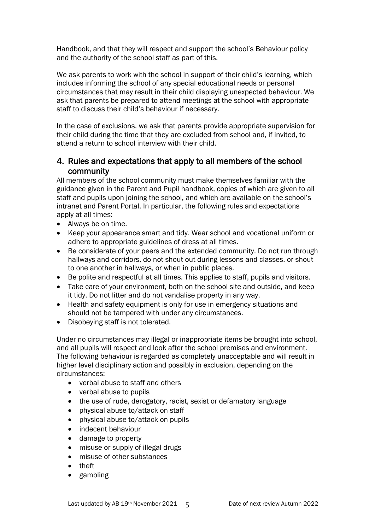Handbook, and that they will respect and support the school's Behaviour policy and the authority of the school staff as part of this.

We ask parents to work with the school in support of their child's learning, which includes informing the school of any special educational needs or personal circumstances that may result in their child displaying unexpected behaviour. We ask that parents be prepared to attend meetings at the school with appropriate staff to discuss their child's behaviour if necessary.

In the case of exclusions, we ask that parents provide appropriate supervision for their child during the time that they are excluded from school and, if invited, to attend a return to school interview with their child.

# 4. Rules and expectations that apply to all members of the school community

All members of the school community must make themselves familiar with the guidance given in the Parent and Pupil handbook, copies of which are given to all staff and pupils upon joining the school, and which are available on the school's intranet and Parent Portal. In particular, the following rules and expectations apply at all times:

- Always be on time.
- Keep your appearance smart and tidy. Wear school and vocational uniform or adhere to appropriate guidelines of dress at all times.
- Be considerate of your peers and the extended community. Do not run through hallways and corridors, do not shout out during lessons and classes, or shout to one another in hallways, or when in public places.
- Be polite and respectful at all times. This applies to staff, pupils and visitors.
- Take care of your environment, both on the school site and outside, and keep it tidy. Do not litter and do not vandalise property in any way.
- Health and safety equipment is only for use in emergency situations and should not be tampered with under any circumstances.
- Disobeying staff is not tolerated.

Under no circumstances may illegal or inappropriate items be brought into school, and all pupils will respect and look after the school premises and environment. The following behaviour is regarded as completely unacceptable and will result in higher level disciplinary action and possibly in exclusion, depending on the circumstances:

- verbal abuse to staff and others
- verbal abuse to pupils
- the use of rude, derogatory, racist, sexist or defamatory language
- physical abuse to/attack on staff
- physical abuse to/attack on pupils
- indecent behaviour
- damage to property
- misuse or supply of illegal drugs
- misuse of other substances
- theft
- gambling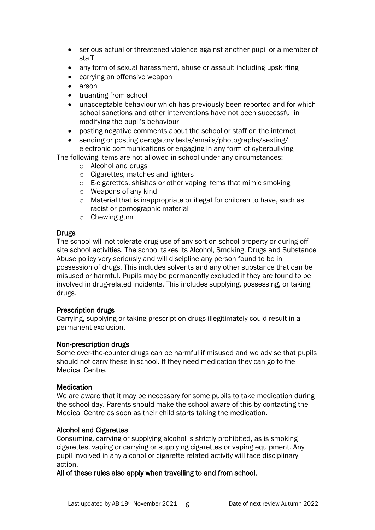- serious actual or threatened violence against another pupil or a member of staff
- any form of sexual harassment, abuse or assault including upskirting
- carrying an offensive weapon
- arson
- truanting from school
- unacceptable behaviour which has previously been reported and for which school sanctions and other interventions have not been successful in modifying the pupil's behaviour
- posting negative comments about the school or staff on the internet
- sending or posting derogatory texts/emails/photographs/sexting/ electronic communications or engaging in any form of cyberbullying

The following items are not allowed in school under any circumstances:

- o Alcohol and drugs
- o Cigarettes, matches and lighters
- o E-cigarettes, shishas or other vaping items that mimic smoking
- o Weapons of any kind
- o Material that is inappropriate or illegal for children to have, such as racist or pornographic material
- o Chewing gum

### **Drugs**

The school will not tolerate drug use of any sort on school property or during offsite school activities. The school takes its Alcohol, Smoking, Drugs and Substance Abuse policy very seriously and will discipline any person found to be in possession of drugs. This includes solvents and any other substance that can be misused or harmful. Pupils may be permanently excluded if they are found to be involved in drug-related incidents. This includes supplying, possessing, or taking drugs.

### Prescription drugs

Carrying, supplying or taking prescription drugs illegitimately could result in a permanent exclusion.

### Non-prescription drugs

Some over-the-counter drugs can be harmful if misused and we advise that pupils should not carry these in school. If they need medication they can go to the Medical Centre.

### Medication

We are aware that it may be necessary for some pupils to take medication during the school day. Parents should make the school aware of this by contacting the Medical Centre as soon as their child starts taking the medication.

### Alcohol and Cigarettes

Consuming, carrying or supplying alcohol is strictly prohibited, as is smoking cigarettes, vaping or carrying or supplying cigarettes or vaping equipment. Any pupil involved in any alcohol or cigarette related activity will face disciplinary action.

### All of these rules also apply when travelling to and from school.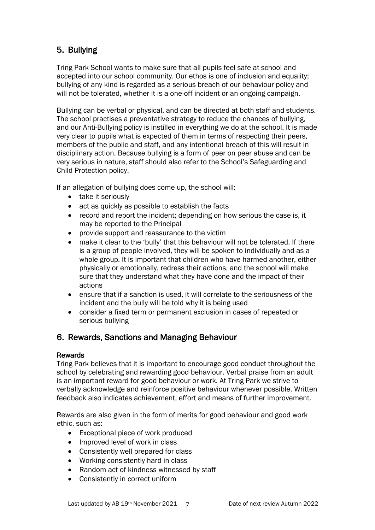# 5. Bullying

Tring Park School wants to make sure that all pupils feel safe at school and accepted into our school community. Our ethos is one of inclusion and equality; bullying of any kind is regarded as a serious breach of our behaviour policy and will not be tolerated, whether it is a one-off incident or an ongoing campaign.

Bullying can be verbal or physical, and can be directed at both staff and students. The school practises a preventative strategy to reduce the chances of bullying, and our Anti-Bullying policy is instilled in everything we do at the school. It is made very clear to pupils what is expected of them in terms of respecting their peers, members of the public and staff, and any intentional breach of this will result in disciplinary action. Because bullying is a form of peer on peer abuse and can be very serious in nature, staff should also refer to the School's Safeguarding and Child Protection policy.

If an allegation of bullying does come up, the school will:

- take it seriously
- act as quickly as possible to establish the facts
- record and report the incident; depending on how serious the case is, it may be reported to the Principal
- provide support and reassurance to the victim
- make it clear to the 'bully' that this behaviour will not be tolerated. If there is a group of people involved, they will be spoken to individually and as a whole group. It is important that children who have harmed another, either physically or emotionally, redress their actions, and the school will make sure that they understand what they have done and the impact of their actions
- ensure that if a sanction is used, it will correlate to the seriousness of the incident and the bully will be told why it is being used
- consider a fixed term or permanent exclusion in cases of repeated or serious bullying

# 6. Rewards, Sanctions and Managing Behaviour

## Rewards

Tring Park believes that it is important to encourage good conduct throughout the school by celebrating and rewarding good behaviour. Verbal praise from an adult is an important reward for good behaviour or work. At Tring Park we strive to verbally acknowledge and reinforce positive behaviour whenever possible. Written feedback also indicates achievement, effort and means of further improvement.

Rewards are also given in the form of merits for good behaviour and good work ethic, such as:

- Exceptional piece of work produced
- Improved level of work in class
- Consistently well prepared for class
- Working consistently hard in class
- Random act of kindness witnessed by staff
- Consistently in correct uniform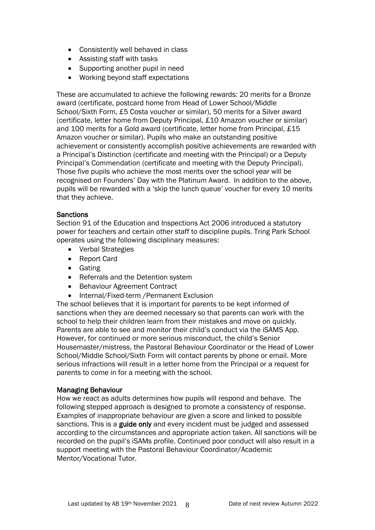- Consistently well behaved in class
- Assisting staff with tasks
- Supporting another pupil in need
- Working beyond staff expectations

These are accumulated to achieve the following rewards: 20 merits for a Bronze award (certificate, postcard home from Head of Lower School/Middle School/Sixth Form, £5 Costa voucher or similar), 50 merits for a Silver award (certificate, letter home from Deputy Principal, £10 Amazon voucher or similar) and 100 merits for a Gold award (certificate, letter home from Principal, £15 Amazon voucher or similar). Pupils who make an outstanding positive achievement or consistently accomplish positive achievements are rewarded with a Principal's Distinction (certificate and meeting with the Principal) or a Deputy Principal's Commendation (certificate and meeting with the Deputy Principal). Those five pupils who achieve the most merits over the school year will be recognised on Founders' Day with the Platinum Award. In addition to the above, pupils will be rewarded with a 'skip the lunch queue' voucher for every 10 merits that they achieve.

### **Sanctions**

Section 91 of the Education and Inspections Act 2006 introduced a statutory power for teachers and certain other staff to discipline pupils. Tring Park School operates using the following disciplinary measures:

- Verbal Strategies
- Report Card
- Gating
- Referrals and the Detention system
- Behaviour Agreement Contract
- Internal/Fixed-term /Permanent Exclusion

The school believes that it is important for parents to be kept informed of sanctions when they are deemed necessary so that parents can work with the school to help their children learn from their mistakes and move on quickly. Parents are able to see and monitor their child's conduct via the iSAMS App. However, for continued or more serious misconduct, the child's Senior Housemaster/mistress, the Pastoral Behaviour Coordinator or the Head of Lower School/Middle School/Sixth Form will contact parents by phone or email. More serious infractions will result in a letter home from the Principal or a request for parents to come in for a meeting with the school.

### Managing Behaviour

How we react as adults determines how pupils will respond and behave. The following stepped approach is designed to promote a consistency of response. Examples of inappropriate behaviour are given a score and linked to possible sanctions. This is a guide only and every incident must be judged and assessed according to the circumstances and appropriate action taken. All sanctions will be recorded on the pupil's iSAMs profile. Continued poor conduct will also result in a support meeting with the Pastoral Behaviour Coordinator/Academic Mentor/Vocational Tutor.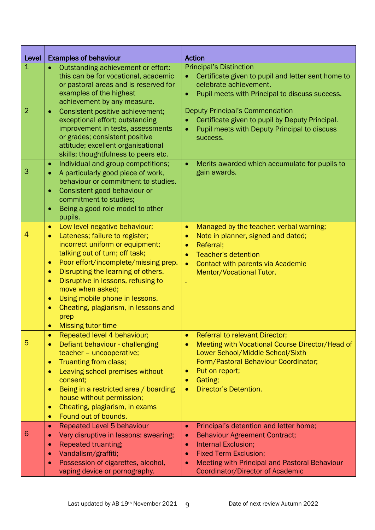| Level          | <b>Examples of behaviour</b>                                                                                                                                                                                                                                                                                                                                                                                                                                                                | <b>Action</b>                                                                                                                                                                                                                                                                         |
|----------------|---------------------------------------------------------------------------------------------------------------------------------------------------------------------------------------------------------------------------------------------------------------------------------------------------------------------------------------------------------------------------------------------------------------------------------------------------------------------------------------------|---------------------------------------------------------------------------------------------------------------------------------------------------------------------------------------------------------------------------------------------------------------------------------------|
| $\mathbf{1}$   | Outstanding achievement or effort:<br>$\bullet$<br>this can be for vocational, academic<br>or pastoral areas and is reserved for<br>examples of the highest<br>achievement by any measure.                                                                                                                                                                                                                                                                                                  | <b>Principal's Distinction</b><br>Certificate given to pupil and letter sent home to<br>celebrate achievement.<br>Pupil meets with Principal to discuss success.<br>$\bullet$                                                                                                         |
| $\overline{2}$ | Consistent positive achievement;<br>$\bullet$<br>exceptional effort; outstanding<br>improvement in tests, assessments<br>or grades; consistent positive<br>attitude; excellent organisational<br>skills; thoughtfulness to peers etc.                                                                                                                                                                                                                                                       | <b>Deputy Principal's Commendation</b><br>Certificate given to pupil by Deputy Principal.<br>Pupil meets with Deputy Principal to discuss<br>$\bullet$<br>success.                                                                                                                    |
| 3              | Individual and group competitions;<br>$\bullet$<br>A particularly good piece of work,<br>$\bullet$<br>behaviour or commitment to studies.<br>Consistent good behaviour or<br>۰<br>commitment to studies;<br>Being a good role model to other<br>$\bullet$<br>pupils.                                                                                                                                                                                                                        | Merits awarded which accumulate for pupils to<br>$\bullet$<br>gain awards.                                                                                                                                                                                                            |
| 4              | Low level negative behaviour;<br>$\bullet$<br>Lateness; failure to register;<br>$\bullet$<br>incorrect uniform or equipment;<br>talking out of turn; off task;<br>Poor effort/incomplete/missing prep.<br>$\bullet$<br>Disrupting the learning of others.<br>$\bullet$<br>Disruptive in lessons, refusing to<br>$\bullet$<br>move when asked;<br>Using mobile phone in lessons.<br>$\bullet$<br>Cheating, plagiarism, in lessons and<br>$\bullet$<br>prep<br><b>Missing tutor time</b><br>۰ | Managed by the teacher: verbal warning;<br>$\bullet$<br>Note in planner, signed and dated;<br>۰<br>Referral;<br>$\bullet$<br><b>Teacher's detention</b><br><b>Contact with parents via Academic</b><br>$\bullet$<br>Mentor/Vocational Tutor.                                          |
| 5              | Repeated level 4 behaviour;<br>$\bullet$<br>Defiant behaviour - challenging<br>$\bullet$<br>teacher - uncooperative;<br>Truanting from class;<br>$\bullet$<br>Leaving school premises without<br>$\bullet$<br>consent;<br>Being in a restricted area / boarding<br>$\bullet$<br>house without permission;<br>Cheating, plagiarism, in exams<br>$\bullet$<br>Found out of bounds.<br>$\bullet$                                                                                               | <b>Referral to relevant Director;</b><br>$\bullet$<br>Meeting with Vocational Course Director/Head of<br>$\bullet$<br>Lower School/Middle School/Sixth<br>Form/Pastoral Behaviour Coordinator;<br>Put on report;<br>$\bullet$<br>Gating;<br>Director's Detention.<br>$\bullet$        |
| 6              | <b>Repeated Level 5 behaviour</b><br>$\bullet$<br>Very disruptive in lessons: swearing;<br>$\bullet$<br><b>Repeated truanting;</b><br>$\bullet$<br>Vandalism/graffiti;<br>$\bullet$<br>Possession of cigarettes, alcohol,<br>$\bullet$<br>vaping device or pornography.                                                                                                                                                                                                                     | Principal's detention and letter home;<br>$\bullet$<br><b>Behaviour Agreement Contract;</b><br>$\bullet$<br><b>Internal Exclusion;</b><br>$\bullet$<br><b>Fixed Term Exclusion;</b><br>$\bullet$<br>Meeting with Principal and Pastoral Behaviour<br>Coordinator/Director of Academic |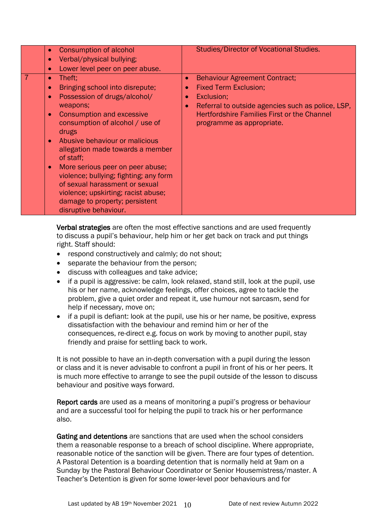| Consumption of alcohol<br>Verbal/physical bullying;<br>Lower level peer on peer abuse.<br>$\bullet$                                                                                                                                                                                                                                                                                                                                                                                                  | <b>Studies/Director of Vocational Studies.</b>                                                                                                                                                                                          |
|------------------------------------------------------------------------------------------------------------------------------------------------------------------------------------------------------------------------------------------------------------------------------------------------------------------------------------------------------------------------------------------------------------------------------------------------------------------------------------------------------|-----------------------------------------------------------------------------------------------------------------------------------------------------------------------------------------------------------------------------------------|
| Theft:<br>Bringing school into disrepute;<br>$\bullet$<br>Possession of drugs/alcohol/<br>weapons;<br><b>Consumption and excessive</b><br>consumption of alcohol / use of<br>drugs<br>Abusive behaviour or malicious<br>allegation made towards a member<br>of staff:<br>More serious peer on peer abuse;<br>$\bullet$<br>violence; bullying; fighting; any form<br>of sexual harassment or sexual<br>violence; upskirting; racist abuse;<br>damage to property; persistent<br>disruptive behaviour. | <b>Behaviour Agreement Contract;</b><br>$\bullet$<br><b>Fixed Term Exclusion;</b><br>Exclusion;<br>Referral to outside agencies such as police, LSP,<br><b>Hertfordshire Families First or the Channel</b><br>programme as appropriate. |

Verbal strategies are often the most effective sanctions and are used frequently to discuss a pupil's behaviour, help him or her get back on track and put things right. Staff should:

- respond constructively and calmly; do not shout;
- separate the behaviour from the person:
- discuss with colleagues and take advice;
- if a pupil is aggressive: be calm, look relaxed, stand still, look at the pupil, use his or her name, acknowledge feelings, offer choices, agree to tackle the problem, give a quiet order and repeat it, use humour not sarcasm, send for help if necessary, move on;
- if a pupil is defiant: look at the pupil, use his or her name, be positive, express dissatisfaction with the behaviour and remind him or her of the consequences, re-direct e.g. focus on work by moving to another pupil, stay friendly and praise for settling back to work.

It is not possible to have an in-depth conversation with a pupil during the lesson or class and it is never advisable to confront a pupil in front of his or her peers. It is much more effective to arrange to see the pupil outside of the lesson to discuss behaviour and positive ways forward.

Report cards are used as a means of monitoring a pupil's progress or behaviour and are a successful tool for helping the pupil to track his or her performance also.

Gating and detentions are sanctions that are used when the school considers them a reasonable response to a breach of school discipline. Where appropriate, reasonable notice of the sanction will be given. There are four types of detention. A Pastoral Detention is a boarding detention that is normally held at 9am on a Sunday by the Pastoral Behaviour Coordinator or Senior Housemistress/master. A Teacher's Detention is given for some lower-level poor behaviours and for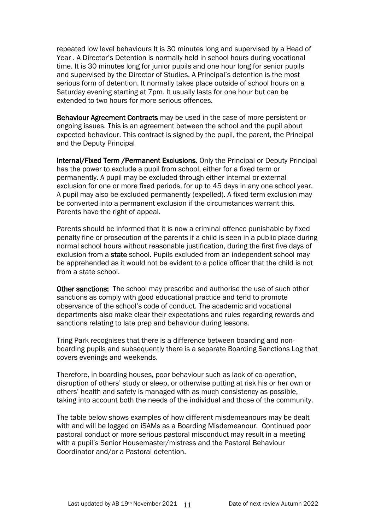repeated low level behaviours It is 30 minutes long and supervised by a Head of Year . A Director's Detention is normally held in school hours during vocational time. It is 30 minutes long for junior pupils and one hour long for senior pupils and supervised by the Director of Studies. A Principal's detention is the most serious form of detention. It normally takes place outside of school hours on a Saturday evening starting at 7pm. It usually lasts for one hour but can be extended to two hours for more serious offences.

Behaviour Agreement Contracts may be used in the case of more persistent or ongoing issues. This is an agreement between the school and the pupil about expected behaviour. This contract is signed by the pupil, the parent, the Principal and the Deputy Principal

Internal/Fixed Term /Permanent Exclusions. Only the Principal or Deputy Principal has the power to exclude a pupil from school, either for a fixed term or permanently. A pupil may be excluded through either internal or external exclusion for one or more fixed periods, for up to 45 days in any one school year. A pupil may also be excluded permanently (expelled). A fixed-term exclusion may be converted into a permanent exclusion if the circumstances warrant this. Parents have the right of appeal.

Parents should be informed that it is now a criminal offence punishable by fixed penalty fine or prosecution of the parents if a child is seen in a public place during normal school hours without reasonable justification, during the first five days of exclusion from a state school. Pupils excluded from an independent school may be apprehended as it would not be evident to a police officer that the child is not from a state school.

Other sanctions: The school may prescribe and authorise the use of such other sanctions as comply with good educational practice and tend to promote observance of the school's code of conduct. The academic and vocational departments also make clear their expectations and rules regarding rewards and sanctions relating to late prep and behaviour during lessons.

Tring Park recognises that there is a difference between boarding and nonboarding pupils and subsequently there is a separate Boarding Sanctions Log that covers evenings and weekends.

Therefore, in boarding houses, poor behaviour such as lack of co-operation, disruption of others' study or sleep, or otherwise putting at risk his or her own or others' health and safety is managed with as much consistency as possible, taking into account both the needs of the individual and those of the community.

The table below shows examples of how different misdemeanours may be dealt with and will be logged on iSAMs as a Boarding Misdemeanour. Continued poor pastoral conduct or more serious pastoral misconduct may result in a meeting with a pupil's Senior Housemaster/mistress and the Pastoral Behaviour Coordinator and/or a Pastoral detention.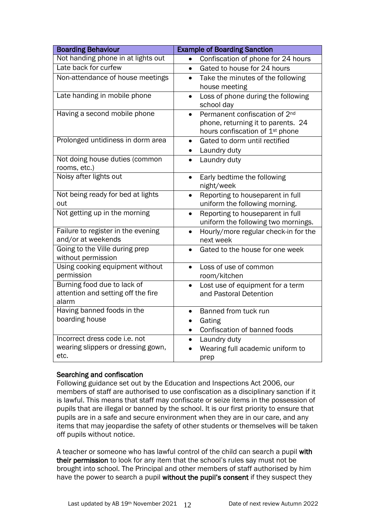| <b>Boarding Behaviour</b>                                                   | <b>Example of Boarding Sanction</b>                                                                                                         |
|-----------------------------------------------------------------------------|---------------------------------------------------------------------------------------------------------------------------------------------|
| Not handing phone in at lights out                                          | Confiscation of phone for 24 hours<br>$\bullet$                                                                                             |
| Late back for curfew                                                        | Gated to house for 24 hours<br>$\bullet$                                                                                                    |
| Non-attendance of house meetings                                            | Take the minutes of the following<br>$\bullet$<br>house meeting                                                                             |
| Late handing in mobile phone                                                | Loss of phone during the following<br>$\bullet$<br>school day                                                                               |
| Having a second mobile phone                                                | Permanent confiscation of 2 <sup>nd</sup><br>$\bullet$<br>phone, returning it to parents. 24<br>hours confiscation of 1 <sup>st</sup> phone |
| Prolonged untidiness in dorm area                                           | Gated to dorm until rectified<br>$\bullet$<br>Laundry duty                                                                                  |
| Not doing house duties (common<br>rooms, etc.)                              | Laundry duty                                                                                                                                |
| Noisy after lights out                                                      | Early bedtime the following<br>$\bullet$<br>night/week                                                                                      |
| Not being ready for bed at lights<br>out                                    | Reporting to houseparent in full<br>$\bullet$<br>uniform the following morning.                                                             |
| Not getting up in the morning                                               | Reporting to houseparent in full<br>$\bullet$<br>uniform the following two mornings.                                                        |
| Failure to register in the evening<br>and/or at weekends                    | Hourly/more regular check-in for the<br>next week                                                                                           |
| Going to the Ville during prep<br>without permission                        | Gated to the house for one week<br>$\bullet$                                                                                                |
| Using cooking equipment without<br>permission                               | Loss of use of common<br>$\bullet$<br>room/kitchen                                                                                          |
| Burning food due to lack of<br>attention and setting off the fire<br>alarm  | Lost use of equipment for a term<br>$\bullet$<br>and Pastoral Detention                                                                     |
| Having banned foods in the<br>boarding house                                | Banned from tuck run<br>$\bullet$<br>Gating<br>Confiscation of banned foods                                                                 |
| Incorrect dress code i.e. not<br>wearing slippers or dressing gown,<br>etc. | Laundry duty<br>Wearing full academic uniform to<br>prep                                                                                    |

## Searching and confiscation

Following guidance set out by the Education and Inspections Act 2006, our members of staff are authorised to use confiscation as a disciplinary sanction if it is lawful. This means that staff may confiscate or seize items in the possession of pupils that are illegal or banned by the school. It is our first priority to ensure that pupils are in a safe and secure environment when they are in our care, and any items that may jeopardise the safety of other students or themselves will be taken off pupils without notice.

A teacher or someone who has lawful control of the child can search a pupil with their permission to look for any item that the school's rules say must not be brought into school. The Principal and other members of staff authorised by him have the power to search a pupil without the pupil's consent if they suspect they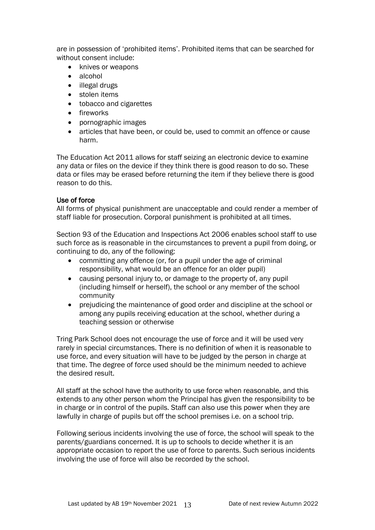are in possession of 'prohibited items'. Prohibited items that can be searched for without consent include:

- knives or weapons
- alcohol
- illegal drugs
- stolen items
- tobacco and cigarettes
- fireworks
- pornographic images
- articles that have been, or could be, used to commit an offence or cause harm.

The Education Act 2011 allows for staff seizing an electronic device to examine any data or files on the device if they think there is good reason to do so. These data or files may be erased before returning the item if they believe there is good reason to do this.

### Use of force

All forms of physical punishment are unacceptable and could render a member of staff liable for prosecution. Corporal punishment is prohibited at all times.

Section 93 of the Education and Inspections Act 2006 enables school staff to use such force as is reasonable in the circumstances to prevent a pupil from doing, or continuing to do, any of the following:

- committing any offence (or, for a pupil under the age of criminal responsibility, what would be an offence for an older pupil)
- causing personal injury to, or damage to the property of, any pupil (including himself or herself), the school or any member of the school community
- prejudicing the maintenance of good order and discipline at the school or among any pupils receiving education at the school, whether during a teaching session or otherwise

Tring Park School does not encourage the use of force and it will be used very rarely in special circumstances. There is no definition of when it is reasonable to use force, and every situation will have to be judged by the person in charge at that time. The degree of force used should be the minimum needed to achieve the desired result.

All staff at the school have the authority to use force when reasonable, and this extends to any other person whom the Principal has given the responsibility to be in charge or in control of the pupils. Staff can also use this power when they are lawfully in charge of pupils but off the school premises i.e. on a school trip.

Following serious incidents involving the use of force, the school will speak to the parents/guardians concerned. It is up to schools to decide whether it is an appropriate occasion to report the use of force to parents. Such serious incidents involving the use of force will also be recorded by the school.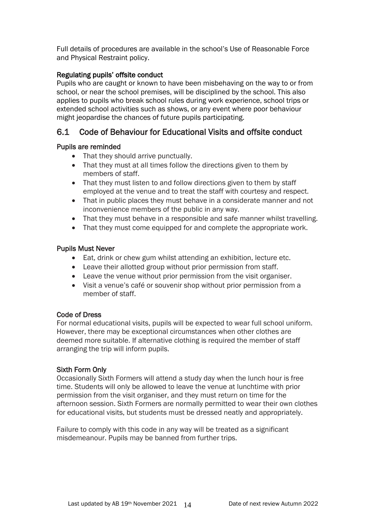Full details of procedures are available in the school's Use of Reasonable Force and Physical Restraint policy.

## Regulating pupils' offsite conduct

Pupils who are caught or known to have been misbehaving on the way to or from school, or near the school premises, will be disciplined by the school. This also applies to pupils who break school rules during work experience, school trips or extended school activities such as shows, or any event where poor behaviour might jeopardise the chances of future pupils participating.

# 6.1 Code of Behaviour for Educational Visits and offsite conduct

## Pupils are reminded

- That they should arrive punctually.
- That they must at all times follow the directions given to them by members of staff.
- That they must listen to and follow directions given to them by staff employed at the venue and to treat the staff with courtesy and respect.
- That in public places they must behave in a considerate manner and not inconvenience members of the public in any way.
- That they must behave in a responsible and safe manner whilst travelling.
- That they must come equipped for and complete the appropriate work.

## Pupils Must Never

- Eat, drink or chew gum whilst attending an exhibition, lecture etc.
- Leave their allotted group without prior permission from staff.
- Leave the venue without prior permission from the visit organiser.
- Visit a venue's café or souvenir shop without prior permission from a member of staff.

## Code of Dress

For normal educational visits, pupils will be expected to wear full school uniform. However, there may be exceptional circumstances when other clothes are deemed more suitable. If alternative clothing is required the member of staff arranging the trip will inform pupils.

## Sixth Form Only

Occasionally Sixth Formers will attend a study day when the lunch hour is free time. Students will only be allowed to leave the venue at lunchtime with prior permission from the visit organiser, and they must return on time for the afternoon session. Sixth Formers are normally permitted to wear their own clothes for educational visits, but students must be dressed neatly and appropriately.

Failure to comply with this code in any way will be treated as a significant misdemeanour. Pupils may be banned from further trips.